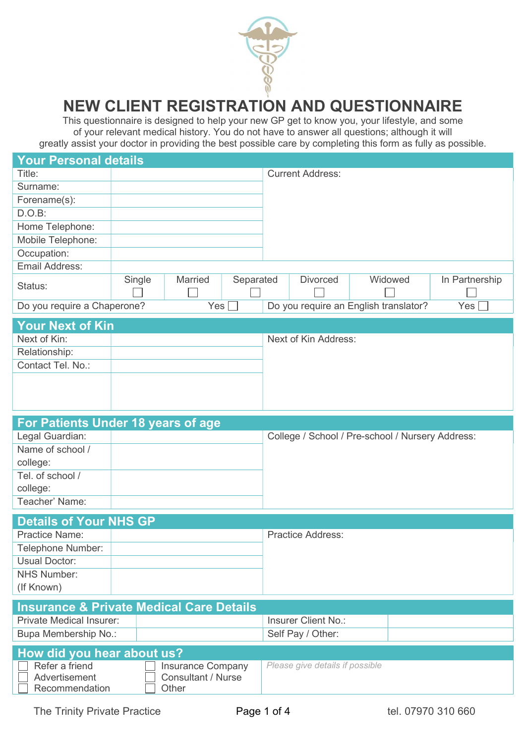

## NEW CLIENT REGISTRATION AND QUESTIONNAIRE

This questionnaire is designed to help your new GP get to know you, your lifestyle, and some of your relevant medical history. You do not have to answer all questions; although it will greatly assist your doctor in providing the best possible care by completing this form as fully as possible.

| <b>Your Personal details</b> |        |                  |           |                         |                                       |                |
|------------------------------|--------|------------------|-----------|-------------------------|---------------------------------------|----------------|
| Title:                       |        |                  |           | <b>Current Address:</b> |                                       |                |
| Surname:                     |        |                  |           |                         |                                       |                |
| Forename(s):                 |        |                  |           |                         |                                       |                |
| D.O.B:                       |        |                  |           |                         |                                       |                |
| Home Telephone:              |        |                  |           |                         |                                       |                |
| Mobile Telephone:            |        |                  |           |                         |                                       |                |
| Occupation:                  |        |                  |           |                         |                                       |                |
| Email Address:               |        |                  |           |                         |                                       |                |
| Status:                      | Single | <b>Married</b>   | Separated | <b>Divorced</b>         | Widowed                               | In Partnership |
| Do you require a Chaperone?  |        | Yes <sub>1</sub> |           |                         | Do you require an English translator? | Yes $\lceil$   |

| <b>Your Next of Kin</b> |                      |
|-------------------------|----------------------|
| Next of Kin:            | Next of Kin Address: |
| Relationship:           |                      |
| Contact Tel. No.:       |                      |
|                         |                      |
|                         |                      |
|                         |                      |

|                  | For Patients Under 18 years of age |                                                  |
|------------------|------------------------------------|--------------------------------------------------|
| Legal Guardian:  |                                    | College / School / Pre-school / Nursery Address: |
| Name of school / |                                    |                                                  |
| college:         |                                    |                                                  |
| Tel. of school / |                                    |                                                  |
| college:         |                                    |                                                  |
| Teacher' Name:   |                                    |                                                  |

| <b>Details of Your NHS GP</b> |                          |
|-------------------------------|--------------------------|
| <b>Practice Name:</b>         | <b>Practice Address:</b> |
| Telephone Number:             |                          |
| Usual Doctor:                 |                          |
| NHS Number:                   |                          |
| (If Known)                    |                          |

| <b>Private Medical Insurer:</b> | Insurer Client No.: |
|---------------------------------|---------------------|
| Bupa Membership No.:            | Self Pay / Other:   |
| How did you hear about us?      |                     |

| How did you hear about us?                        |                                                  |                                 |
|---------------------------------------------------|--------------------------------------------------|---------------------------------|
| Refer a friend<br>Advertisement<br>Recommendation | Insurance Company<br>Consultant / Nurse<br>Other | Please give details if possible |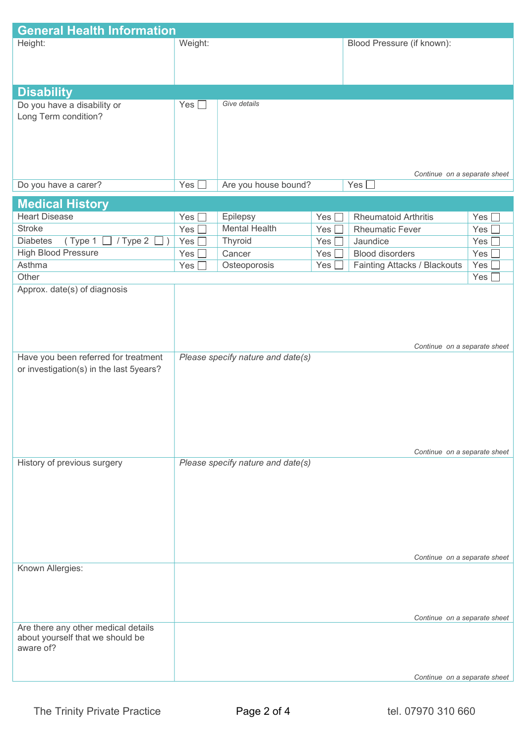| <b>General Health Information</b>       |                  |                                   |     |                                     |       |
|-----------------------------------------|------------------|-----------------------------------|-----|-------------------------------------|-------|
| Height:                                 | Weight:          |                                   |     | Blood Pressure (if known):          |       |
|                                         |                  |                                   |     |                                     |       |
|                                         |                  |                                   |     |                                     |       |
|                                         |                  |                                   |     |                                     |       |
| <b>Disability</b>                       |                  |                                   |     |                                     |       |
| Do you have a disability or             | Yes $\square$    | Give details                      |     |                                     |       |
| Long Term condition?                    |                  |                                   |     |                                     |       |
|                                         |                  |                                   |     |                                     |       |
|                                         |                  |                                   |     |                                     |       |
|                                         |                  |                                   |     |                                     |       |
|                                         |                  |                                   |     | Continue on a separate sheet        |       |
| Do you have a carer?                    | Yes <sup> </sup> | Are you house bound?              |     | Yes [                               |       |
|                                         |                  |                                   |     |                                     |       |
| <b>Medical History</b>                  |                  |                                   |     |                                     |       |
| <b>Heart Disease</b>                    | Yes              | Epilepsy                          | Yes | <b>Rheumatoid Arthritis</b>         | Yes   |
| <b>Stroke</b>                           | Yes              | <b>Mental Health</b>              | Yes | <b>Rheumatic Fever</b>              | Yes   |
| /Type 2<br><b>Diabetes</b><br>(Type 1   | Yes              | Thyroid                           | Yes | Jaundice                            | Yes   |
| <b>High Blood Pressure</b>              | Yes              | Cancer                            | Yes | <b>Blood disorders</b>              | Yes [ |
| Asthma                                  | Yes              | Osteoporosis                      | Yes | <b>Fainting Attacks / Blackouts</b> | Yes   |
| Other                                   |                  |                                   |     |                                     | Yes   |
| Approx. date(s) of diagnosis            |                  |                                   |     |                                     |       |
|                                         |                  |                                   |     |                                     |       |
|                                         |                  |                                   |     |                                     |       |
|                                         |                  |                                   |     |                                     |       |
|                                         |                  |                                   |     | Continue on a separate sheet        |       |
| Have you been referred for treatment    |                  | Please specify nature and date(s) |     |                                     |       |
| or investigation(s) in the last 5years? |                  |                                   |     |                                     |       |
|                                         |                  |                                   |     |                                     |       |
|                                         |                  |                                   |     |                                     |       |
|                                         |                  |                                   |     |                                     |       |
|                                         |                  |                                   |     |                                     |       |
|                                         |                  |                                   |     |                                     |       |
|                                         |                  |                                   |     |                                     |       |
|                                         |                  |                                   |     | Continue on a separate sheet        |       |
| History of previous surgery             |                  | Please specify nature and date(s) |     |                                     |       |
|                                         |                  |                                   |     |                                     |       |
|                                         |                  |                                   |     |                                     |       |
|                                         |                  |                                   |     |                                     |       |
|                                         |                  |                                   |     |                                     |       |
|                                         |                  |                                   |     |                                     |       |
|                                         |                  |                                   |     |                                     |       |
|                                         |                  |                                   |     | Continue on a separate sheet        |       |
| Known Allergies:                        |                  |                                   |     |                                     |       |
|                                         |                  |                                   |     |                                     |       |
|                                         |                  |                                   |     |                                     |       |
|                                         |                  |                                   |     |                                     |       |
|                                         |                  |                                   |     | Continue on a separate sheet        |       |
| Are there any other medical details     |                  |                                   |     |                                     |       |
| about yourself that we should be        |                  |                                   |     |                                     |       |
| aware of?                               |                  |                                   |     |                                     |       |
|                                         |                  |                                   |     |                                     |       |
|                                         |                  |                                   |     | Continue on a separate sheet        |       |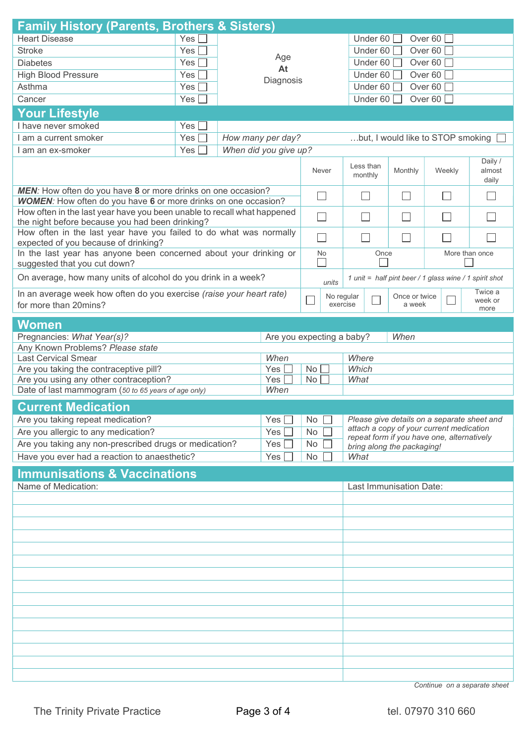| <b>Family History (Parents, Brothers &amp; Sisters)</b>                                                                               |                  |  |    |                       |                                      |                                                                          |                         |                                                        |                            |
|---------------------------------------------------------------------------------------------------------------------------------------|------------------|--|----|-----------------------|--------------------------------------|--------------------------------------------------------------------------|-------------------------|--------------------------------------------------------|----------------------------|
| <b>Heart Disease</b>                                                                                                                  | Yes $\lceil$     |  |    |                       | Under 60 $\square$<br>Over 60 $\Box$ |                                                                          |                         |                                                        |                            |
| <b>Stroke</b>                                                                                                                         | Yes              |  |    |                       |                                      | Over 60 $\square$<br>Under 60 $\Box$                                     |                         |                                                        |                            |
| <b>Diabetes</b>                                                                                                                       | Age<br>Yes       |  |    |                       | Under 60 $\Box$<br>Over 60 $\Box$    |                                                                          |                         |                                                        |                            |
| <b>High Blood Pressure</b>                                                                                                            | Yes <sub>l</sub> |  |    | At                    |                                      | Under 60 $\Box$                                                          |                         | Over 60 $\Box$                                         |                            |
| Asthma                                                                                                                                | Yes <sub>1</sub> |  |    | Diagnosis             |                                      | Under 60 $\Box$<br>Over 60 $\Box$                                        |                         |                                                        |                            |
| Cancer                                                                                                                                | Yes              |  |    |                       |                                      | Under 60                                                                 |                         | Over 60                                                |                            |
| <b>Your Lifestyle</b>                                                                                                                 |                  |  |    |                       |                                      |                                                                          |                         |                                                        |                            |
| I have never smoked                                                                                                                   | Yes              |  |    |                       |                                      |                                                                          |                         |                                                        |                            |
| I am a current smoker                                                                                                                 | Yes              |  |    | How many per day?     |                                      |                                                                          |                         | but, I would like to STOP smoking                      |                            |
| I am an ex-smoker                                                                                                                     | Yes              |  |    | When did you give up? |                                      |                                                                          |                         |                                                        |                            |
|                                                                                                                                       |                  |  |    |                       | Never                                | Less than<br>monthly                                                     | Monthly                 | Weekly                                                 | Daily /<br>almost<br>daily |
| MEN: How often do you have 8 or more drinks on one occasion?<br><b>WOMEN:</b> How often do you have 6 or more drinks on one occasion? |                  |  |    |                       | $\sim$                               |                                                                          |                         |                                                        | $\sim$                     |
| How often in the last year have you been unable to recall what happened<br>the night before because you had been drinking?            |                  |  |    |                       | $\Box$                               |                                                                          | $\Box$                  |                                                        |                            |
| How often in the last year have you failed to do what was normally<br>expected of you because of drinking?                            |                  |  |    |                       | $\overline{\phantom{a}}$             |                                                                          | $\vert \ \ \vert$       |                                                        |                            |
| In the last year has anyone been concerned about your drinking or<br>suggested that you cut down?                                     |                  |  |    |                       | No                                   | Once                                                                     |                         |                                                        | More than once             |
| On average, how many units of alcohol do you drink in a week?                                                                         |                  |  |    |                       | units                                |                                                                          |                         | 1 unit = half pint beer / 1 glass wine / 1 spirit shot |                            |
| In an average week how often do you exercise (raise your heart rate)<br>for more than 20mins?                                         |                  |  |    |                       | No regular<br>П<br>exercise          |                                                                          | Once or twice<br>a week | $\mathbb{R}^n$                                         | Twice a<br>week or<br>more |
| <b>Women</b>                                                                                                                          |                  |  |    |                       |                                      |                                                                          |                         |                                                        |                            |
| Pregnancies: What Year(s)?                                                                                                            |                  |  |    |                       |                                      |                                                                          | When                    |                                                        |                            |
| Any Known Problems? Please state                                                                                                      |                  |  |    |                       | Are you expecting a baby?            |                                                                          |                         |                                                        |                            |
| <b>Last Cervical Smear</b>                                                                                                            |                  |  |    | When                  |                                      | Where                                                                    |                         |                                                        |                            |
| Are you taking the contraceptive pill?                                                                                                |                  |  |    | Yes                   | No                                   | Which                                                                    |                         |                                                        |                            |
| Are you using any other contraception?<br>Yes                                                                                         |                  |  | No | What                  |                                      |                                                                          |                         |                                                        |                            |
| Date of last mammogram (50 to 65 years of age only)                                                                                   |                  |  |    | When                  |                                      |                                                                          |                         |                                                        |                            |
| <b>Current Medication</b>                                                                                                             |                  |  |    |                       |                                      |                                                                          |                         |                                                        |                            |
| Are you taking repeat medication?                                                                                                     |                  |  |    | Yes                   | No                                   |                                                                          |                         | Please give details on a separate sheet and            |                            |
| Are you allergic to any medication?                                                                                                   |                  |  |    | Yes                   | No                                   |                                                                          |                         | attach a copy of your current medication               |                            |
| Are you taking any non-prescribed drugs or medication?                                                                                |                  |  |    | Yes                   | No                                   | repeat form if you have one, alternatively<br>bring along the packaging! |                         |                                                        |                            |
| Have you ever had a reaction to anaesthetic?                                                                                          |                  |  |    | Yes                   | No                                   | What                                                                     |                         |                                                        |                            |
| <b>Immunisations &amp; Vaccinations</b>                                                                                               |                  |  |    |                       |                                      |                                                                          |                         |                                                        |                            |
| Name of Medication:                                                                                                                   |                  |  |    |                       |                                      | Last Immunisation Date:                                                  |                         |                                                        |                            |
|                                                                                                                                       |                  |  |    |                       |                                      |                                                                          |                         |                                                        |                            |
|                                                                                                                                       |                  |  |    |                       |                                      |                                                                          |                         |                                                        |                            |
|                                                                                                                                       |                  |  |    |                       |                                      |                                                                          |                         |                                                        |                            |
|                                                                                                                                       |                  |  |    |                       |                                      |                                                                          |                         |                                                        |                            |
|                                                                                                                                       |                  |  |    |                       |                                      |                                                                          |                         |                                                        |                            |
|                                                                                                                                       |                  |  |    |                       |                                      |                                                                          |                         |                                                        |                            |
|                                                                                                                                       |                  |  |    |                       |                                      |                                                                          |                         |                                                        |                            |
|                                                                                                                                       |                  |  |    |                       |                                      |                                                                          |                         |                                                        |                            |
|                                                                                                                                       |                  |  |    |                       |                                      |                                                                          |                         |                                                        |                            |
|                                                                                                                                       |                  |  |    |                       |                                      |                                                                          |                         |                                                        |                            |
|                                                                                                                                       |                  |  |    |                       |                                      |                                                                          |                         |                                                        |                            |
|                                                                                                                                       |                  |  |    |                       |                                      |                                                                          |                         |                                                        |                            |
|                                                                                                                                       |                  |  |    |                       |                                      |                                                                          |                         |                                                        |                            |